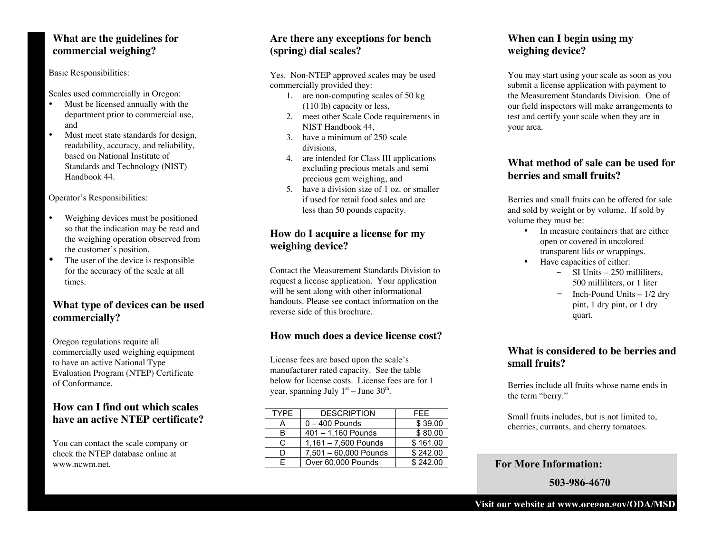# **What are the guidelines for commercial weighing?**

Basic Responsibilities:

Scales used commercially in Oregon:

- Must be licensed annually with the department prior to commercial use, and
- Must meet state standards for design, readability, accuracy, and reliability, based on National Institute of Standards and Technology (NIST) Handbook 44.

Operator's Responsibilities:

- Weighing devices must be positioned so that the indication may be read and the weighing operation observed from the customer's position.
- The user of the device is responsible for the accuracy of the scale at all times.

# **What type of devices can be used commercially?**

Oregon regulations require all commercially used weighing equipment to have an active National Type Evaluation Program (NTEP) Certificate of Conformance.

# **How can I find out which scales have an active NTEP certificate?**

You can contact the scale company or check the NTEP database online at www.ncwm.net.

# **Are there any exceptions for bench (spring) dial scales?**

Yes. Non-NTEP approved scales may be used commercially provided they:

- 1. are non-computing scales of 50 kg (110 lb) capacity or less,
- 2. meet other Scale Code requirements in NIST Handbook 44,
- 3. have a minimum of 250 scale divisions,
- 4. are intended for Class III applications excluding precious metals and semi precious gem weighing, and
- 5. have a division size of 1 oz. or smaller if used for retail food sales and are less than 50 pounds capacity.

#### **How do I acquire a license for my weighing device?**

Contact the Measurement Standards Division to request a license application. Your application will be sent along with other informational handouts. Please see contact information on the reverse side of this brochure.

# **How much does a device license cost?**

License fees are based upon the scale's manufacturer rated capacity. See the table below for license costs. License fees are for 1 year, spanning July  $1<sup>st</sup>$  – June 30<sup>th</sup>.

| <b>TYPE</b> | <b>DESCRIPTION</b>     | FFF             |
|-------------|------------------------|-----------------|
| А           | $0 - 400$ Pounds       | \$39.00         |
| R           | $401 - 1,160$ Pounds   | \$80.00         |
| C           | $1,161 - 7,500$ Pounds | \$161.00        |
| n           | 7,501 - 60,000 Pounds  | \$242.00        |
| F           | Over 60,000 Pounds     | $\sqrt{242.00}$ |

# **When can I begin using my weighing device?**

You may start using your scale as soon as you submit a license application with payment to the Measurement Standards Division. One of our field inspectors will make arrangements to test and certify your scale when they are in your area.

# **What method of sale can be used for berries and small fruits?**

Berries and small fruits can be offered for sale and sold by weight or by volume. If sold by volume they must be:

- In measure containers that are either open or covered in uncolored transparent lids or wrappings.
- Have capacities of either:
	- SI Units 250 milliliters, 500 milliliters, or 1 liter
	- $-$  Inch-Pound Units  $-1/2$  dry pint, 1 dry pint, or 1 dry quart.

# **What is considered to be berries and small fruits?**

Berries include all fruits whose name ends in the term "berry."

Small fruits includes, but is not limited to, cherries, currants, and cherry tomatoes.

#### For More Information:

503-986-4670

## Visit our website at www.oregon.gov/ODA/MSD